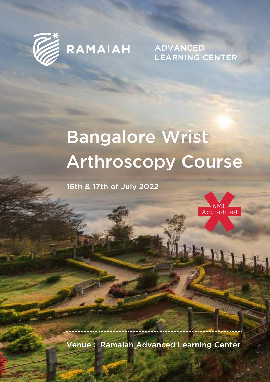

**ADVANCED LEARNING CENTER** 

# Bangalore Wrist Arthroscopy Course

16th & 17th of July 2022



·lür

Venue : Ramaiah Advanced Learning Center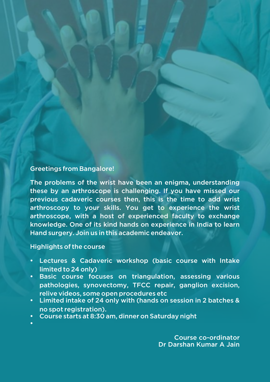# Greetings from Bangalore!

The problems of the wrist have been an enigma, understanding these by an arthroscope is challenging. If you have missed our previous cadaveric courses then, this is the time to add wrist arthroscopy to your skills. You get to experience the wrist arthroscope, with a host of experienced faculty to exchange knowledge. One of its kind hands on experience in India to learn Hand surgery. Join us in this academic endeavor.

#### Highlights of the course

Ÿ

- **Lectures & Cadaveric workshop (basic course with Intake** limited to 24 only)
- **Basic course focuses on triangulation, assessing various** pathologies, synovectomy, TFCC repair, ganglion excision, relive videos, some open procedures etc
- $\cdot$  Limited intake of 24 only with (hands on session in 2 batches & no spot registration).
- Course starts at 8:30 am, dinner on Saturday night

Course co-ordinator Dr Darshan Kumar A Jain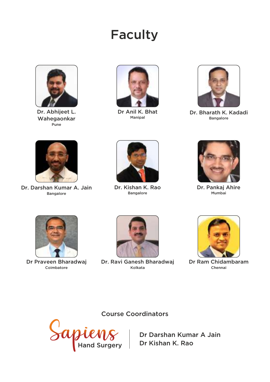# Faculty



Dr. Abhijeet L. Wahegaonkar Pune



Dr Anil K. Bhat Manipal



Dr. Bharath K. Kadadi Bangalore



Dr. Darshan Kumar A. Jain Bangalore



Dr. Kishan K. Rao Bangalore



Dr. Pankaj Ahire Mumbai



Dr Praveen Bharadwaj Coimbatore



Dr. Ravi Ganesh Bharadwaj Kolkata



Dr Ram Chidambaram Chennai

Course Coordinators